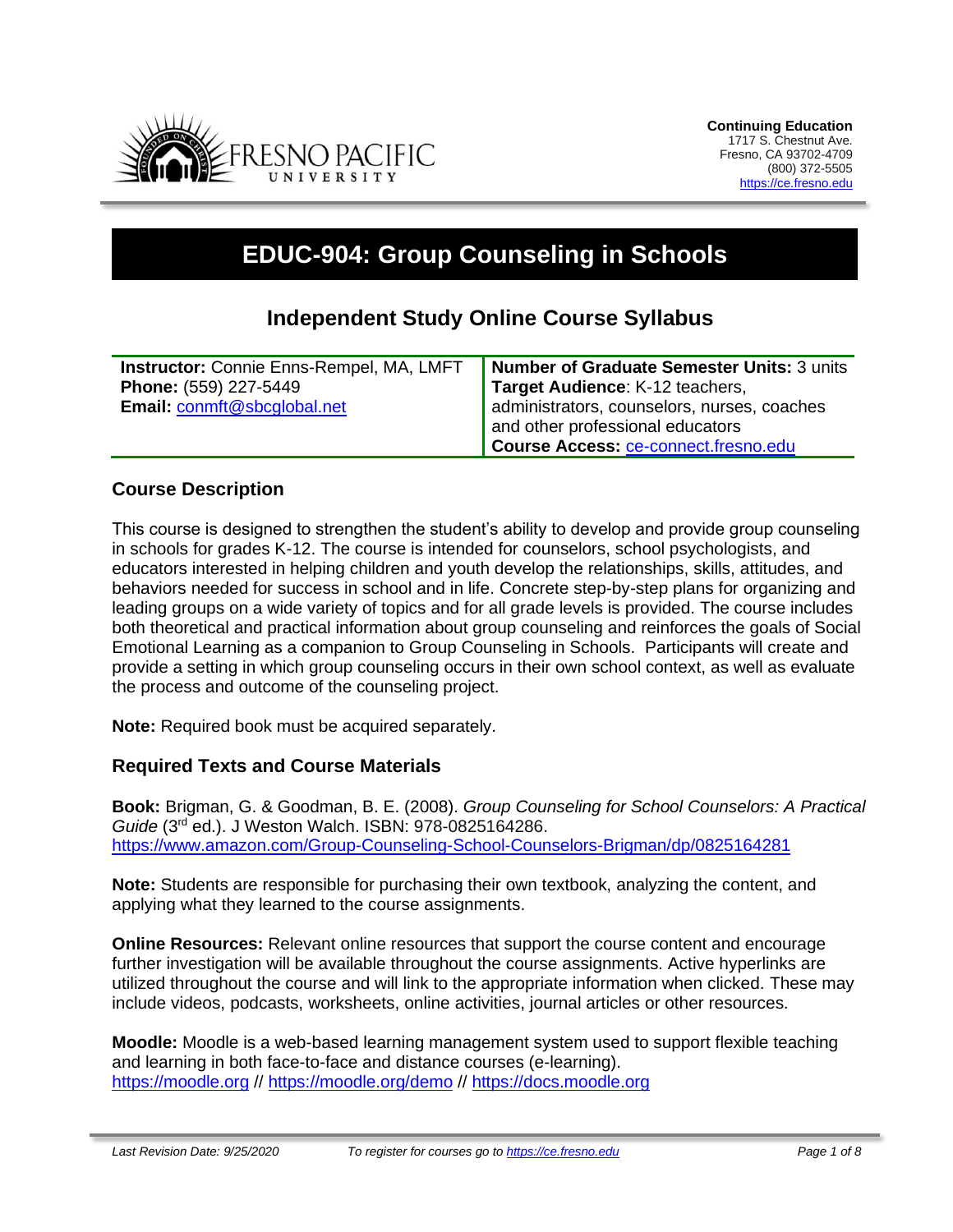

# **EDUC-904: Group Counseling in Schools**

# **Independent Study Online Course Syllabus**

| <b>Instructor:</b> Connie Enns-Rempel, MA, LMFT | Number of Graduate Semester Units: 3 units  |
|-------------------------------------------------|---------------------------------------------|
| Phone: (559) 227-5449                           | Target Audience: K-12 teachers,             |
| Email: conmft@sbcglobal.net                     | administrators, counselors, nurses, coaches |
|                                                 | and other professional educators            |
|                                                 | Course Access: ce-connect.fresno.edu        |

#### **Course Description**

This course is designed to strengthen the student's ability to develop and provide group counseling in schools for grades K-12. The course is intended for counselors, school psychologists, and educators interested in helping children and youth develop the relationships, skills, attitudes, and behaviors needed for success in school and in life. Concrete step-by-step plans for organizing and leading groups on a wide variety of topics and for all grade levels is provided. The course includes both theoretical and practical information about group counseling and reinforces the goals of Social Emotional Learning as a companion to Group Counseling in Schools. Participants will create and provide a setting in which group counseling occurs in their own school context, as well as evaluate the process and outcome of the counseling project.

**Note:** Required book must be acquired separately.

#### **Required Texts and Course Materials**

**Book:** Brigman, G. & Goodman, B. E. (2008). *Group Counseling for School Counselors: A Practical Guide* (3 rd ed.). J Weston Walch. ISBN: 978-0825164286. <https://www.amazon.com/Group-Counseling-School-Counselors-Brigman/dp/0825164281>

**Note:** Students are responsible for purchasing their own textbook, analyzing the content, and applying what they learned to the course assignments.

**Online Resources:** Relevant online resources that support the course content and encourage further investigation will be available throughout the course assignments. Active hyperlinks are utilized throughout the course and will link to the appropriate information when clicked. These may include videos, podcasts, worksheets, online activities, journal articles or other resources.

**Moodle:** Moodle is a web-based learning management system used to support flexible teaching and learning in both face-to-face and distance courses (e-learning). [https://moodle.org](https://moodle.org/) // <https://moodle.org/demo> // [https://docs.moodle.org](https://docs.moodle.org/)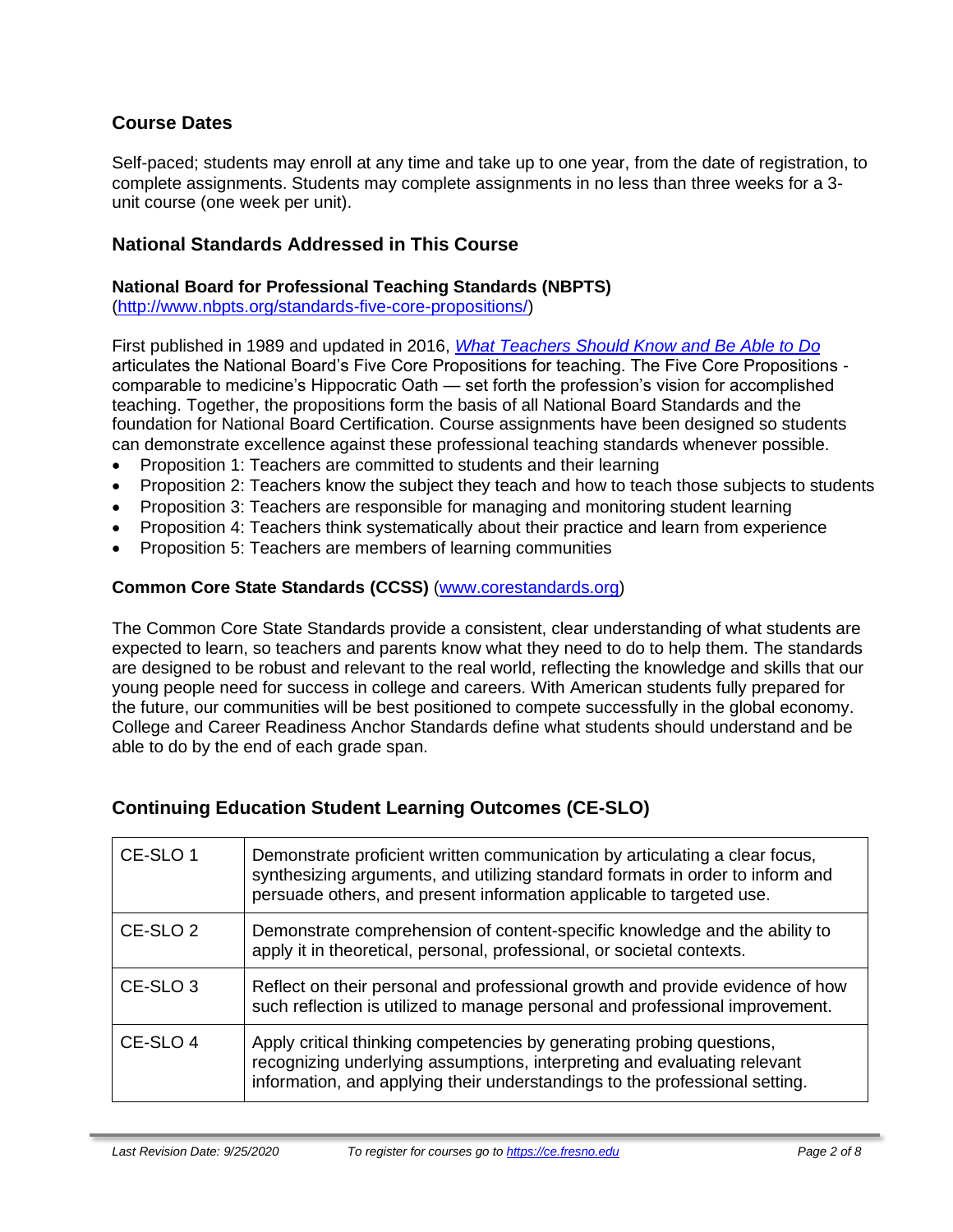# **Course Dates**

Self-paced; students may enroll at any time and take up to one year, from the date of registration, to complete assignments. Students may complete assignments in no less than three weeks for a 3 unit course (one week per unit).

### **National Standards Addressed in This Course**

#### **National Board for Professional Teaching Standards (NBPTS)**

[\(http://www.nbpts.org/standards-five-core-propositions/\)](http://www.nbpts.org/standards-five-core-propositions/)

First published in 1989 and updated in 2016, *[What Teachers Should Know and Be Able to Do](http://www.accomplishedteacher.org/)* articulates the National Board's Five Core Propositions for teaching. The Five Core Propositions comparable to medicine's Hippocratic Oath — set forth the profession's vision for accomplished teaching. Together, the propositions form the basis of all National Board Standards and the foundation for National Board Certification. Course assignments have been designed so students can demonstrate excellence against these professional teaching standards whenever possible.

- Proposition 1: Teachers are committed to students and their learning
- Proposition 2: Teachers know the subject they teach and how to teach those subjects to students
- Proposition 3: Teachers are responsible for managing and monitoring student learning
- Proposition 4: Teachers think systematically about their practice and learn from experience
- Proposition 5: Teachers are members of learning communities

#### **Common Core State Standards (CCSS)** [\(www.corestandards.org\)](http://www.corestandards.org/)

The Common Core State Standards provide a consistent, clear understanding of what students are expected to learn, so teachers and parents know what they need to do to help them. The standards are designed to be robust and relevant to the real world, reflecting the knowledge and skills that our young people need for success in college and careers. With American students fully prepared for the future, our communities will be best positioned to compete successfully in the global economy. College and Career Readiness Anchor Standards define what students should understand and be able to do by the end of each grade span.

# **Continuing Education Student Learning Outcomes (CE-SLO)**

| CE-SLO 1            | Demonstrate proficient written communication by articulating a clear focus,<br>synthesizing arguments, and utilizing standard formats in order to inform and<br>persuade others, and present information applicable to targeted use. |
|---------------------|--------------------------------------------------------------------------------------------------------------------------------------------------------------------------------------------------------------------------------------|
| CE-SLO <sub>2</sub> | Demonstrate comprehension of content-specific knowledge and the ability to<br>apply it in theoretical, personal, professional, or societal contexts.                                                                                 |
| CE-SLO <sub>3</sub> | Reflect on their personal and professional growth and provide evidence of how<br>such reflection is utilized to manage personal and professional improvement.                                                                        |
| CE-SLO 4            | Apply critical thinking competencies by generating probing questions,<br>recognizing underlying assumptions, interpreting and evaluating relevant<br>information, and applying their understandings to the professional setting.     |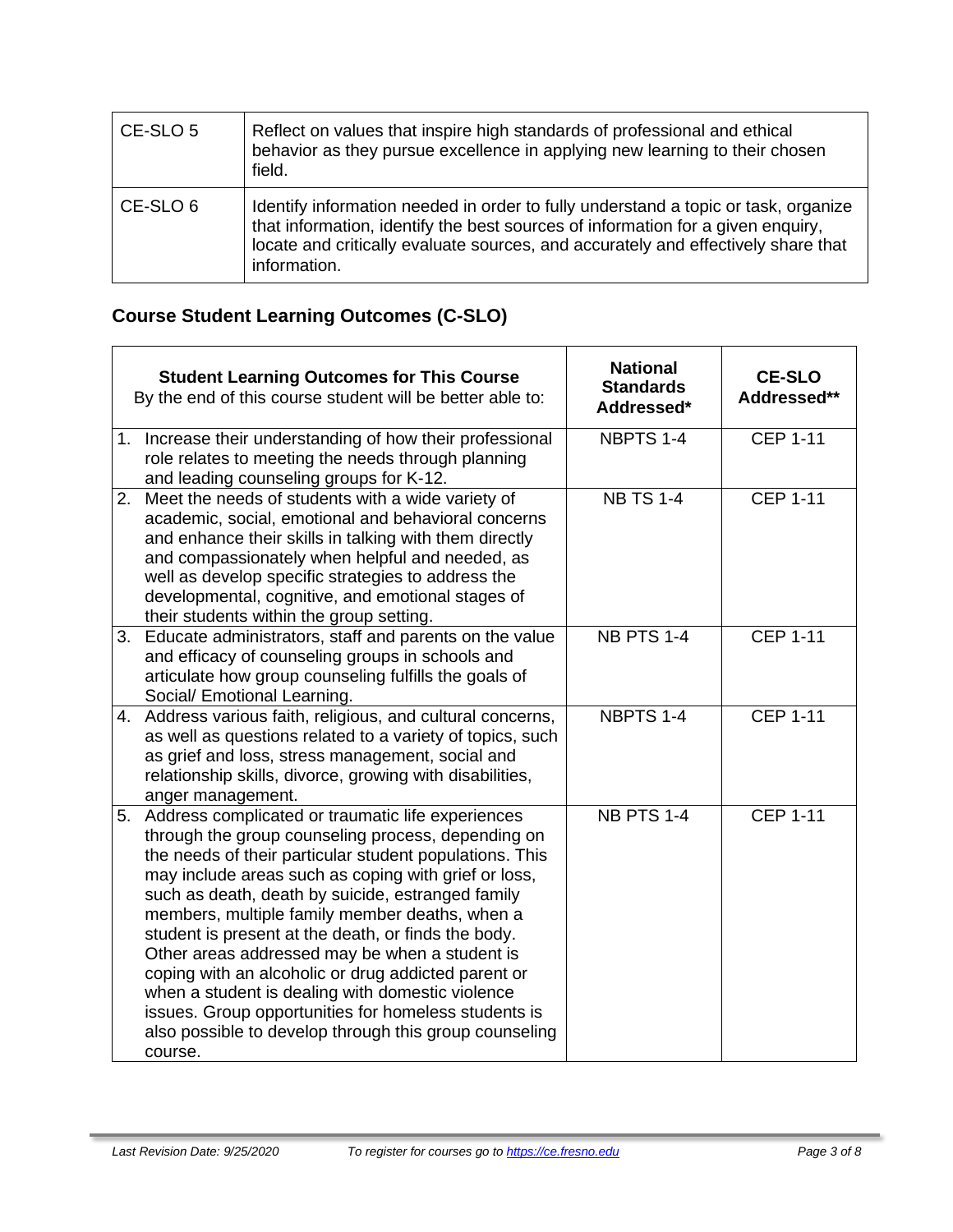| CE-SLO 5 | Reflect on values that inspire high standards of professional and ethical<br>behavior as they pursue excellence in applying new learning to their chosen<br>field.                                                                                                         |
|----------|----------------------------------------------------------------------------------------------------------------------------------------------------------------------------------------------------------------------------------------------------------------------------|
| CE-SLO 6 | Identify information needed in order to fully understand a topic or task, organize<br>that information, identify the best sources of information for a given enquiry,<br>locate and critically evaluate sources, and accurately and effectively share that<br>information. |

# **Course Student Learning Outcomes (C-SLO)**

|    | <b>Student Learning Outcomes for This Course</b><br>By the end of this course student will be better able to:                                                                                                                                                                                                                                                                                                                                                                                                                                                                                                                                                                         | <b>National</b><br><b>Standards</b><br>Addressed* | <b>CE-SLO</b><br>Addressed** |
|----|---------------------------------------------------------------------------------------------------------------------------------------------------------------------------------------------------------------------------------------------------------------------------------------------------------------------------------------------------------------------------------------------------------------------------------------------------------------------------------------------------------------------------------------------------------------------------------------------------------------------------------------------------------------------------------------|---------------------------------------------------|------------------------------|
|    | 1. Increase their understanding of how their professional<br>role relates to meeting the needs through planning<br>and leading counseling groups for K-12.                                                                                                                                                                                                                                                                                                                                                                                                                                                                                                                            | NBPTS 1-4                                         | <b>CEP 1-11</b>              |
|    | 2. Meet the needs of students with a wide variety of<br>academic, social, emotional and behavioral concerns<br>and enhance their skills in talking with them directly<br>and compassionately when helpful and needed, as<br>well as develop specific strategies to address the<br>developmental, cognitive, and emotional stages of<br>their students within the group setting.                                                                                                                                                                                                                                                                                                       | <b>NB TS 1-4</b>                                  | <b>CEP 1-11</b>              |
| 3. | Educate administrators, staff and parents on the value<br>and efficacy of counseling groups in schools and<br>articulate how group counseling fulfills the goals of<br>Social/ Emotional Learning.                                                                                                                                                                                                                                                                                                                                                                                                                                                                                    | <b>NB PTS 1-4</b>                                 | <b>CEP 1-11</b>              |
|    | 4. Address various faith, religious, and cultural concerns,<br>as well as questions related to a variety of topics, such<br>as grief and loss, stress management, social and<br>relationship skills, divorce, growing with disabilities,<br>anger management.                                                                                                                                                                                                                                                                                                                                                                                                                         | NBPTS 1-4                                         | <b>CEP 1-11</b>              |
|    | 5. Address complicated or traumatic life experiences<br>through the group counseling process, depending on<br>the needs of their particular student populations. This<br>may include areas such as coping with grief or loss,<br>such as death, death by suicide, estranged family<br>members, multiple family member deaths, when a<br>student is present at the death, or finds the body.<br>Other areas addressed may be when a student is<br>coping with an alcoholic or drug addicted parent or<br>when a student is dealing with domestic violence<br>issues. Group opportunities for homeless students is<br>also possible to develop through this group counseling<br>course. | <b>NB PTS 1-4</b>                                 | <b>CEP 1-11</b>              |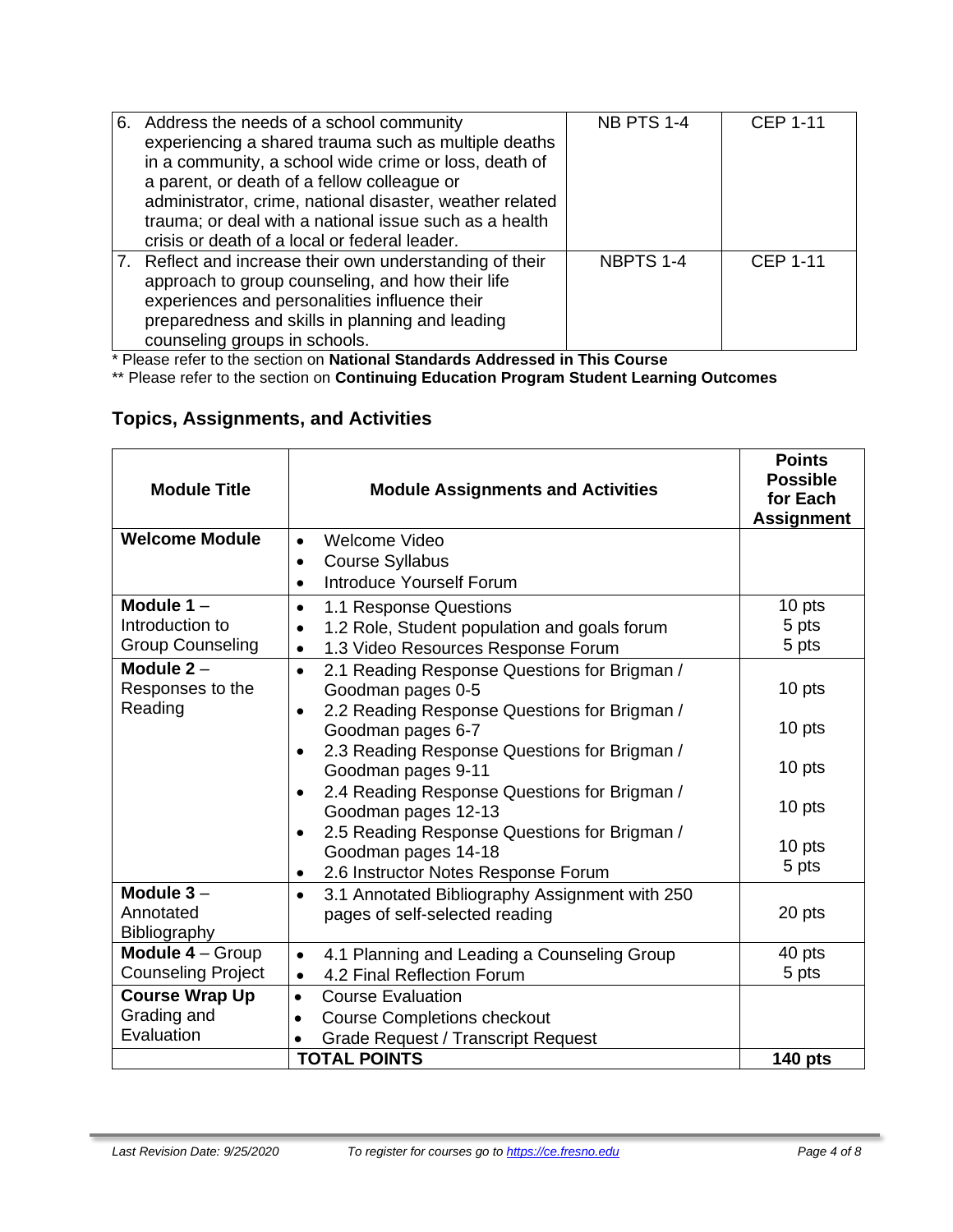| 6. Address the needs of a school community<br>experiencing a shared trauma such as multiple deaths<br>in a community, a school wide crime or loss, death of<br>a parent, or death of a fellow colleague or<br>administrator, crime, national disaster, weather related<br>trauma; or deal with a national issue such as a health<br>crisis or death of a local or federal leader. | <b>NB PTS 1-4</b> | <b>CEP 1-11</b> |
|-----------------------------------------------------------------------------------------------------------------------------------------------------------------------------------------------------------------------------------------------------------------------------------------------------------------------------------------------------------------------------------|-------------------|-----------------|
| 7. Reflect and increase their own understanding of their<br>approach to group counseling, and how their life<br>experiences and personalities influence their<br>preparedness and skills in planning and leading<br>counseling groups in schools.                                                                                                                                 | NBPTS 1-4         | <b>CEP 1-11</b> |

\* Please refer to the section on **National Standards Addressed in This Course**

\*\* Please refer to the section on **Continuing Education Program Student Learning Outcomes**

# **Topics, Assignments, and Activities**

| <b>Module Title</b>              | <b>Module Assignments and Activities</b>                                       | <b>Points</b><br><b>Possible</b><br>for Each<br><b>Assignment</b> |
|----------------------------------|--------------------------------------------------------------------------------|-------------------------------------------------------------------|
| <b>Welcome Module</b>            | Welcome Video<br>$\bullet$<br><b>Course Syllabus</b><br>٠                      |                                                                   |
|                                  | Introduce Yourself Forum<br>$\bullet$                                          |                                                                   |
| Module $1 -$                     | 1.1 Response Questions<br>$\bullet$                                            | 10 pts                                                            |
| Introduction to                  | 1.2 Role, Student population and goals forum<br>٠                              | 5 pts                                                             |
| <b>Group Counseling</b>          | 1.3 Video Resources Response Forum<br>$\bullet$                                | 5 pts                                                             |
| Module $2 -$<br>Responses to the | 2.1 Reading Response Questions for Brigman /<br>$\bullet$<br>Goodman pages 0-5 | 10 pts                                                            |
| Reading                          | 2.2 Reading Response Questions for Brigman /<br>$\bullet$                      |                                                                   |
|                                  | Goodman pages 6-7                                                              | 10 pts                                                            |
|                                  | 2.3 Reading Response Questions for Brigman /                                   |                                                                   |
|                                  | Goodman pages 9-11                                                             | 10 pts                                                            |
|                                  | 2.4 Reading Response Questions for Brigman /<br>$\bullet$                      |                                                                   |
|                                  | Goodman pages 12-13                                                            | 10 pts                                                            |
|                                  | 2.5 Reading Response Questions for Brigman /<br>$\bullet$                      | 10 pts                                                            |
|                                  | Goodman pages 14-18<br>2.6 Instructor Notes Response Forum                     | 5 pts                                                             |
| Module $3-$                      | 3.1 Annotated Bibliography Assignment with 250<br>$\bullet$                    |                                                                   |
| Annotated                        | pages of self-selected reading                                                 | 20 pts                                                            |
| Bibliography                     |                                                                                |                                                                   |
| Module 4 - Group                 | 4.1 Planning and Leading a Counseling Group<br>$\bullet$                       | 40 pts                                                            |
| <b>Counseling Project</b>        | 4.2 Final Reflection Forum<br>$\bullet$                                        | 5 pts                                                             |
| <b>Course Wrap Up</b>            | <b>Course Evaluation</b><br>$\bullet$                                          |                                                                   |
| Grading and                      | <b>Course Completions checkout</b><br>$\bullet$                                |                                                                   |
| Evaluation                       | <b>Grade Request / Transcript Request</b>                                      |                                                                   |
|                                  | <b>TOTAL POINTS</b>                                                            | <b>140 pts</b>                                                    |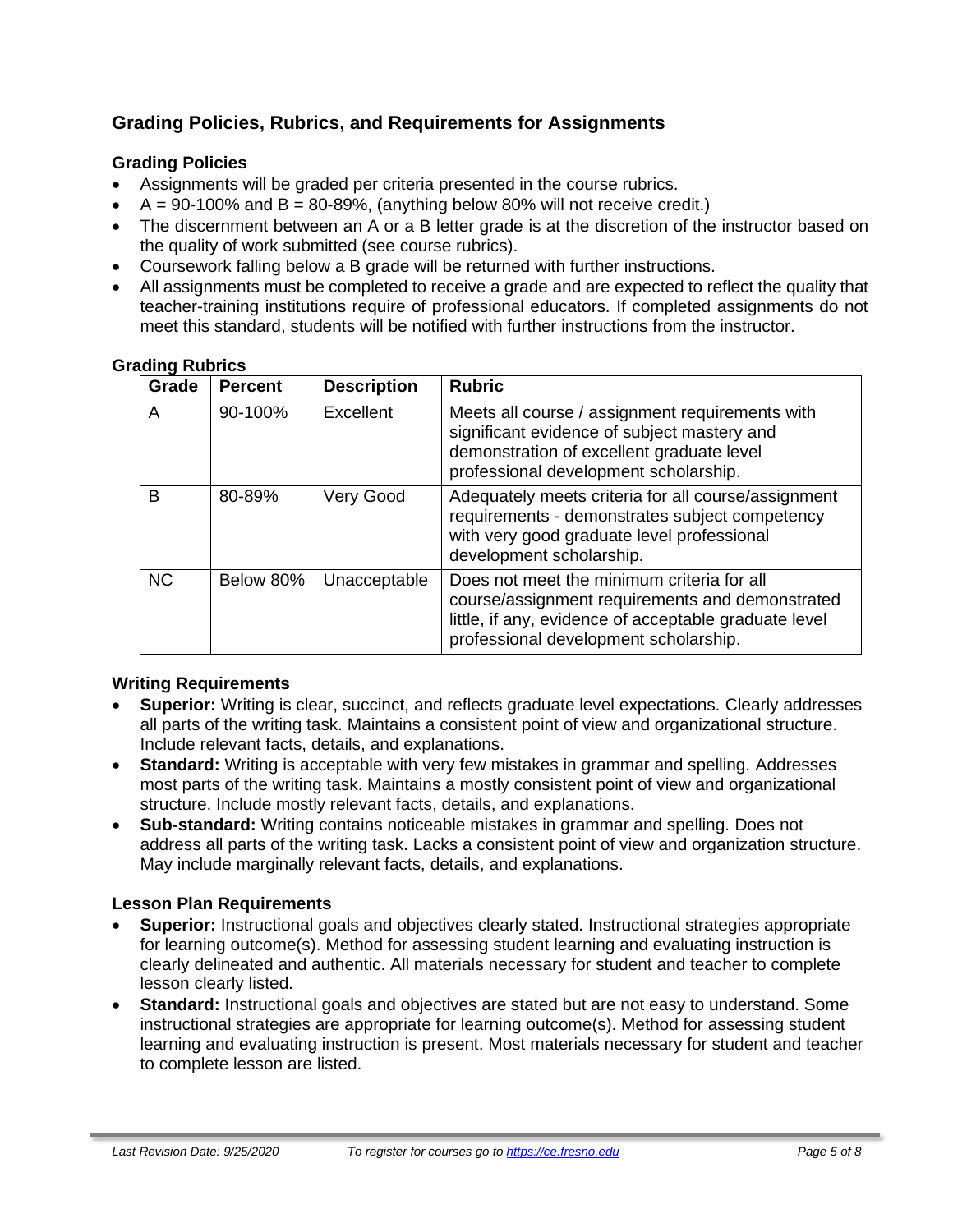# **Grading Policies, Rubrics, and Requirements for Assignments**

### **Grading Policies**

- Assignments will be graded per criteria presented in the course rubrics.
- $A = 90-100\%$  and  $B = 80-89\%$ , (anything below 80% will not receive credit.)
- The discernment between an A or a B letter grade is at the discretion of the instructor based on the quality of work submitted (see course rubrics).
- Coursework falling below a B grade will be returned with further instructions.
- All assignments must be completed to receive a grade and are expected to reflect the quality that teacher-training institutions require of professional educators. If completed assignments do not meet this standard, students will be notified with further instructions from the instructor.

| Grade     | <b>Percent</b> | <b>Description</b> | <b>Rubric</b>                                                                                                                                                                                   |
|-----------|----------------|--------------------|-------------------------------------------------------------------------------------------------------------------------------------------------------------------------------------------------|
| A         | 90-100%        | Excellent          | Meets all course / assignment requirements with<br>significant evidence of subject mastery and<br>demonstration of excellent graduate level<br>professional development scholarship.            |
| В         | 80-89%         | Very Good          | Adequately meets criteria for all course/assignment<br>requirements - demonstrates subject competency<br>with very good graduate level professional<br>development scholarship.                 |
| <b>NC</b> | Below 80%      | Unacceptable       | Does not meet the minimum criteria for all<br>course/assignment requirements and demonstrated<br>little, if any, evidence of acceptable graduate level<br>professional development scholarship. |

#### **Grading Rubrics**

#### **Writing Requirements**

- **Superior:** Writing is clear, succinct, and reflects graduate level expectations. Clearly addresses all parts of the writing task. Maintains a consistent point of view and organizational structure. Include relevant facts, details, and explanations.
- **Standard:** Writing is acceptable with very few mistakes in grammar and spelling. Addresses most parts of the writing task. Maintains a mostly consistent point of view and organizational structure. Include mostly relevant facts, details, and explanations.
- **Sub-standard:** Writing contains noticeable mistakes in grammar and spelling. Does not address all parts of the writing task. Lacks a consistent point of view and organization structure. May include marginally relevant facts, details, and explanations.

#### **Lesson Plan Requirements**

- **Superior:** Instructional goals and objectives clearly stated. Instructional strategies appropriate for learning outcome(s). Method for assessing student learning and evaluating instruction is clearly delineated and authentic. All materials necessary for student and teacher to complete lesson clearly listed.
- **Standard:** Instructional goals and objectives are stated but are not easy to understand. Some instructional strategies are appropriate for learning outcome(s). Method for assessing student learning and evaluating instruction is present. Most materials necessary for student and teacher to complete lesson are listed.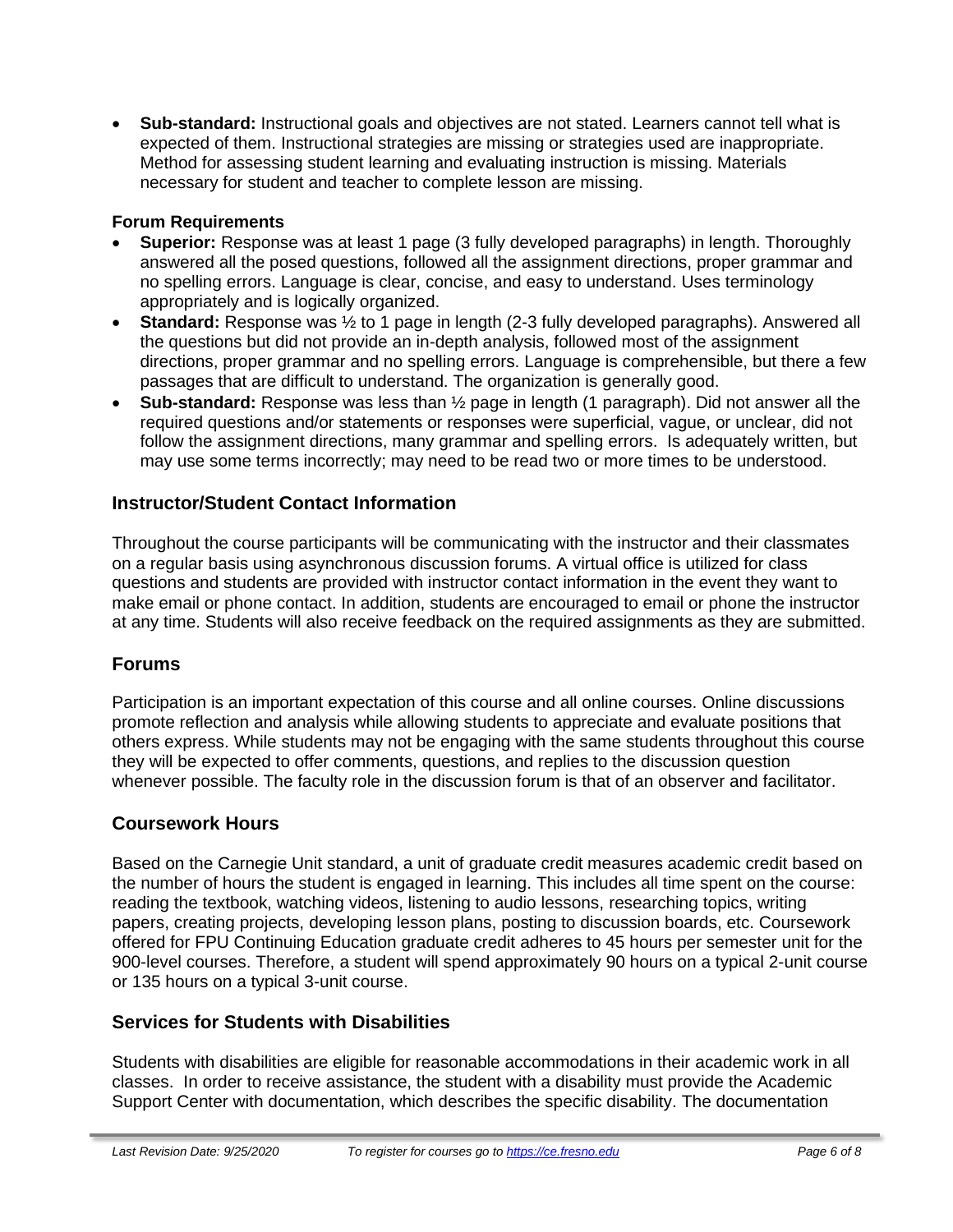• **Sub-standard:** Instructional goals and objectives are not stated. Learners cannot tell what is expected of them. Instructional strategies are missing or strategies used are inappropriate. Method for assessing student learning and evaluating instruction is missing. Materials necessary for student and teacher to complete lesson are missing.

# **Forum Requirements**

- **Superior:** Response was at least 1 page (3 fully developed paragraphs) in length. Thoroughly answered all the posed questions, followed all the assignment directions, proper grammar and no spelling errors. Language is clear, concise, and easy to understand. Uses terminology appropriately and is logically organized.
- **Standard:** Response was ½ to 1 page in length (2-3 fully developed paragraphs). Answered all the questions but did not provide an in-depth analysis, followed most of the assignment directions, proper grammar and no spelling errors. Language is comprehensible, but there a few passages that are difficult to understand. The organization is generally good.
- **Sub-standard:** Response was less than ½ page in length (1 paragraph). Did not answer all the required questions and/or statements or responses were superficial, vague, or unclear, did not follow the assignment directions, many grammar and spelling errors. Is adequately written, but may use some terms incorrectly; may need to be read two or more times to be understood.

# **Instructor/Student Contact Information**

Throughout the course participants will be communicating with the instructor and their classmates on a regular basis using asynchronous discussion forums. A virtual office is utilized for class questions and students are provided with instructor contact information in the event they want to make email or phone contact. In addition, students are encouraged to email or phone the instructor at any time. Students will also receive feedback on the required assignments as they are submitted.

# **Forums**

Participation is an important expectation of this course and all online courses. Online discussions promote reflection and analysis while allowing students to appreciate and evaluate positions that others express. While students may not be engaging with the same students throughout this course they will be expected to offer comments, questions, and replies to the discussion question whenever possible. The faculty role in the discussion forum is that of an observer and facilitator.

#### **Coursework Hours**

Based on the Carnegie Unit standard, a unit of graduate credit measures academic credit based on the number of hours the student is engaged in learning. This includes all time spent on the course: reading the textbook, watching videos, listening to audio lessons, researching topics, writing papers, creating projects, developing lesson plans, posting to discussion boards, etc. Coursework offered for FPU Continuing Education graduate credit adheres to 45 hours per semester unit for the 900-level courses. Therefore, a student will spend approximately 90 hours on a typical 2-unit course or 135 hours on a typical 3-unit course.

# **Services for Students with Disabilities**

Students with disabilities are eligible for reasonable accommodations in their academic work in all classes. In order to receive assistance, the student with a disability must provide the Academic Support Center with documentation, which describes the specific disability. The documentation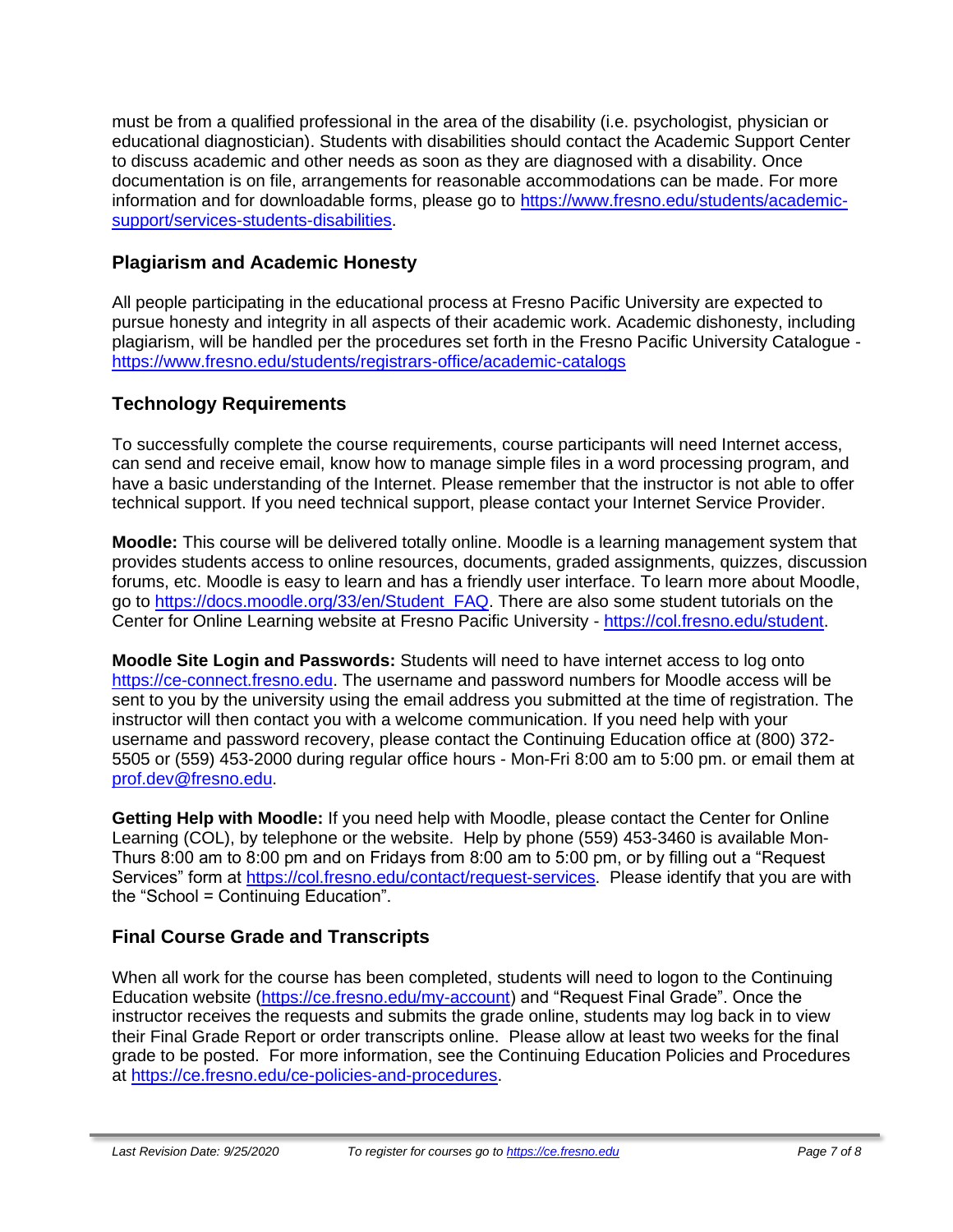must be from a qualified professional in the area of the disability (i.e. psychologist, physician or educational diagnostician). Students with disabilities should contact the Academic Support Center to discuss academic and other needs as soon as they are diagnosed with a disability. Once documentation is on file, arrangements for reasonable accommodations can be made. For more information and for downloadable forms, please go to [https://www.fresno.edu/students/academic](https://www.fresno.edu/students/academic-support/services-students-disabilities)[support/services-students-disabilities.](https://www.fresno.edu/students/academic-support/services-students-disabilities)

# **Plagiarism and Academic Honesty**

All people participating in the educational process at Fresno Pacific University are expected to pursue honesty and integrity in all aspects of their academic work. Academic dishonesty, including plagiarism, will be handled per the procedures set forth in the Fresno Pacific University Catalogue <https://www.fresno.edu/students/registrars-office/academic-catalogs>

# **Technology Requirements**

To successfully complete the course requirements, course participants will need Internet access, can send and receive email, know how to manage simple files in a word processing program, and have a basic understanding of the Internet. Please remember that the instructor is not able to offer technical support. If you need technical support, please contact your Internet Service Provider.

**Moodle:** This course will be delivered totally online. Moodle is a learning management system that provides students access to online resources, documents, graded assignments, quizzes, discussion forums, etc. Moodle is easy to learn and has a friendly user interface. To learn more about Moodle, go to [https://docs.moodle.org/33/en/Student\\_FAQ.](https://docs.moodle.org/33/en/Student_FAQ) There are also some student tutorials on the Center for Online Learning website at Fresno Pacific University - [https://col.fresno.edu/student.](https://col.fresno.edu/student)

**Moodle Site Login and Passwords:** Students will need to have internet access to log onto [https://ce-connect.fresno.edu.](https://ce-connect.fresno.edu/) The username and password numbers for Moodle access will be sent to you by the university using the email address you submitted at the time of registration. The instructor will then contact you with a welcome communication. If you need help with your username and password recovery, please contact the Continuing Education office at (800) 372- 5505 or (559) 453-2000 during regular office hours - Mon-Fri 8:00 am to 5:00 pm. or email them at [prof.dev@fresno.edu.](mailto:prof.dev@fresno.edu)

**Getting Help with Moodle:** If you need help with Moodle, please contact the Center for Online Learning (COL), by telephone or the website. Help by phone (559) 453-3460 is available Mon-Thurs 8:00 am to 8:00 pm and on Fridays from 8:00 am to 5:00 pm, or by filling out a "Request Services" form at [https://col.fresno.edu/contact/request-services.](https://col.fresno.edu/contact/request-services) Please identify that you are with the "School = Continuing Education".

# **Final Course Grade and Transcripts**

When all work for the course has been completed, students will need to logon to the Continuing Education website [\(https://ce.fresno.edu/my-account\)](https://ce.fresno.edu/my-account) and "Request Final Grade". Once the instructor receives the requests and submits the grade online, students may log back in to view their Final Grade Report or order transcripts online. Please allow at least two weeks for the final grade to be posted. For more information, see the Continuing Education Policies and Procedures at [https://ce.fresno.edu/ce-policies-and-procedures.](https://ce.fresno.edu/ce-policies-and-procedures)